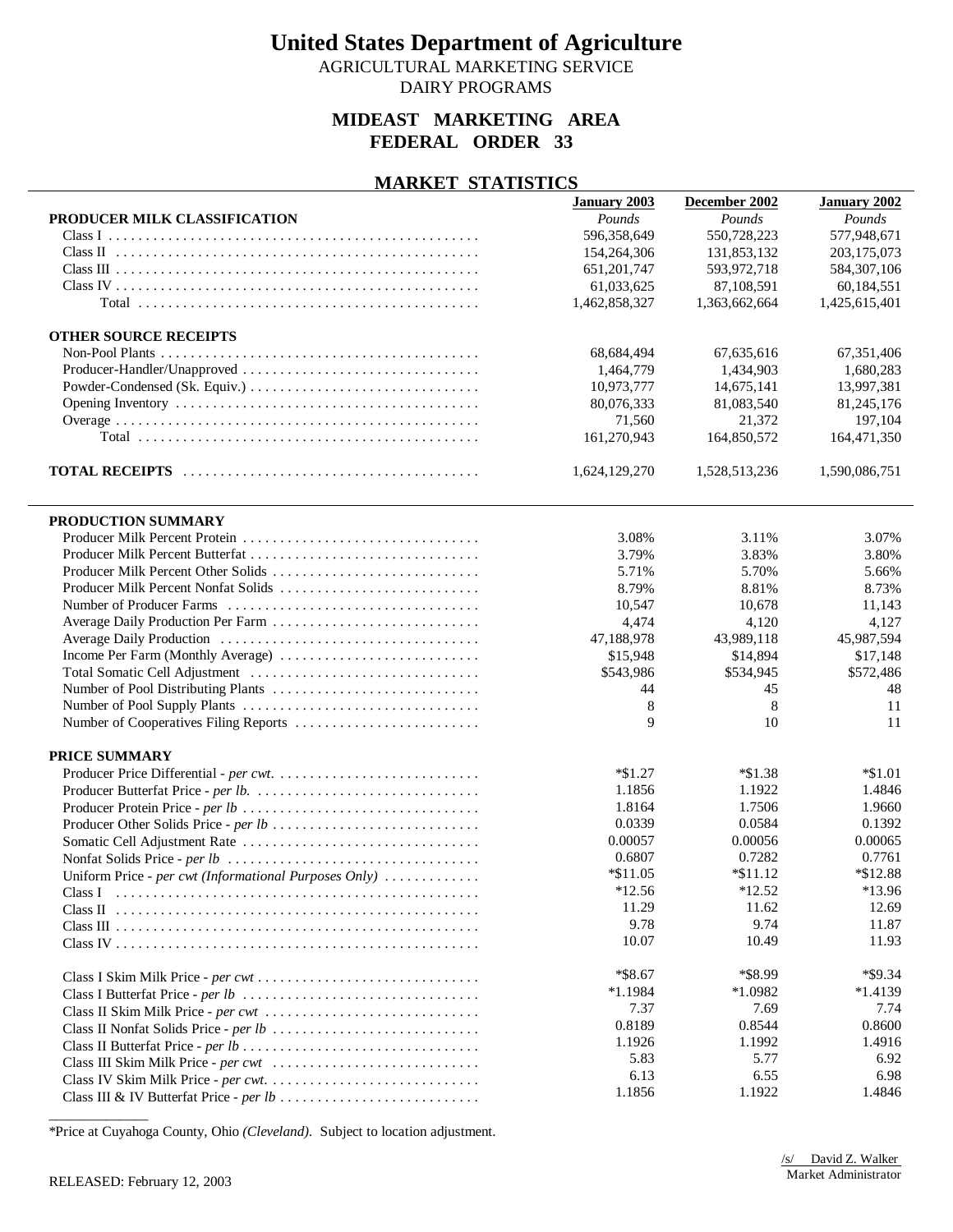AGRICULTURAL MARKETING SERVICE

### DAIRY PROGRAMS

### **MIDEAST MARKETING AREA FEDERAL ORDER 33**

#### **MARKET STATISTICS**

|                                                       | <b>January 2003</b> | December 2002 | <b>January 2002</b> |
|-------------------------------------------------------|---------------------|---------------|---------------------|
| PRODUCER MILK CLASSIFICATION                          | Pounds              | Pounds        | Pounds              |
|                                                       | 596,358,649         | 550,728,223   | 577,948,671         |
|                                                       | 154,264,306         | 131,853,132   | 203,175,073         |
|                                                       | 651,201,747         | 593,972,718   | 584, 307, 106       |
|                                                       | 61,033,625          | 87,108,591    | 60,184,551          |
|                                                       | 1,462,858,327       | 1,363,662,664 | 1,425,615,401       |
|                                                       |                     |               |                     |
| <b>OTHER SOURCE RECEIPTS</b>                          |                     |               |                     |
|                                                       | 68,684,494          | 67,635,616    | 67,351,406          |
|                                                       | 1,464,779           | 1,434,903     | 1,680,283           |
|                                                       | 10,973,777          | 14,675,141    | 13,997,381          |
|                                                       | 80,076,333          | 81,083,540    | 81,245,176          |
|                                                       | 71,560              | 21,372        | 197,104             |
|                                                       | 161,270,943         | 164,850,572   | 164,471,350         |
|                                                       |                     |               |                     |
|                                                       | 1,624,129,270       | 1,528,513,236 | 1,590,086,751       |
| PRODUCTION SUMMARY                                    |                     |               |                     |
|                                                       | 3.08%               | 3.11%         | 3.07%               |
|                                                       | 3.79%               | 3.83%         | 3.80%               |
| Producer Milk Percent Other Solids                    | 5.71%               | 5.70%         | 5.66%               |
| Producer Milk Percent Nonfat Solids                   | 8.79%               | 8.81%         | 8.73%               |
|                                                       |                     | 10,678        |                     |
|                                                       | 10,547              |               | 11,143              |
| Average Daily Production Per Farm                     | 4,474               | 4,120         | 4,127               |
|                                                       | 47,188,978          | 43,989,118    | 45,987,594          |
|                                                       | \$15,948            | \$14,894      | \$17,148            |
|                                                       | \$543,986           | \$534,945     | \$572,486           |
|                                                       | 44                  | 45            | 48                  |
|                                                       | 8                   | 8             | 11                  |
| Number of Cooperatives Filing Reports                 | 9                   | 10            | 11                  |
| <b>PRICE SUMMARY</b>                                  |                     |               |                     |
|                                                       | $*\$1.27$           | $*\$1.38$     | $*1.01$             |
|                                                       | 1.1856              | 1.1922        | 1.4846              |
|                                                       | 1.8164              | 1.7506        | 1.9660              |
|                                                       | 0.0339              | 0.0584        | 0.1392              |
|                                                       | 0.00057             | 0.00056       | 0.00065             |
|                                                       | 0.6807              | 0.7282        | 0.7761              |
| Uniform Price - per cwt (Informational Purposes Only) | $*11.05$            | $*11.12$      | *\$12.88            |
|                                                       | $*12.56$            | $*12.52$      | $*13.96$            |
|                                                       |                     |               | 12.69               |
|                                                       | 11.29<br>9.78       | 11.62<br>9.74 |                     |
|                                                       |                     |               | 11.87               |
|                                                       | 10.07               | 10.49         | 11.93               |
|                                                       | $*$ \$8.67          | *\$8.99       | *\$9.34             |
|                                                       | $*1.1984$           | *1.0982       | $*1.4139$           |
| Class II Skim Milk Price - per cwt                    | 7.37                | 7.69          | 7.74                |
|                                                       | 0.8189              | 0.8544        | 0.8600              |
|                                                       | 1.1926              | 1.1992        | 1.4916              |
|                                                       | 5.83                | 5.77          | 6.92                |
|                                                       | 6.13                | 6.55          | 6.98                |
|                                                       | 1.1856              | 1.1922        | 1.4846              |
|                                                       |                     |               |                     |

\*Price at Cuyahoga County, Ohio *(Cleveland)*. Subject to location adjustment.

\_\_\_\_\_\_\_\_\_\_\_\_\_\_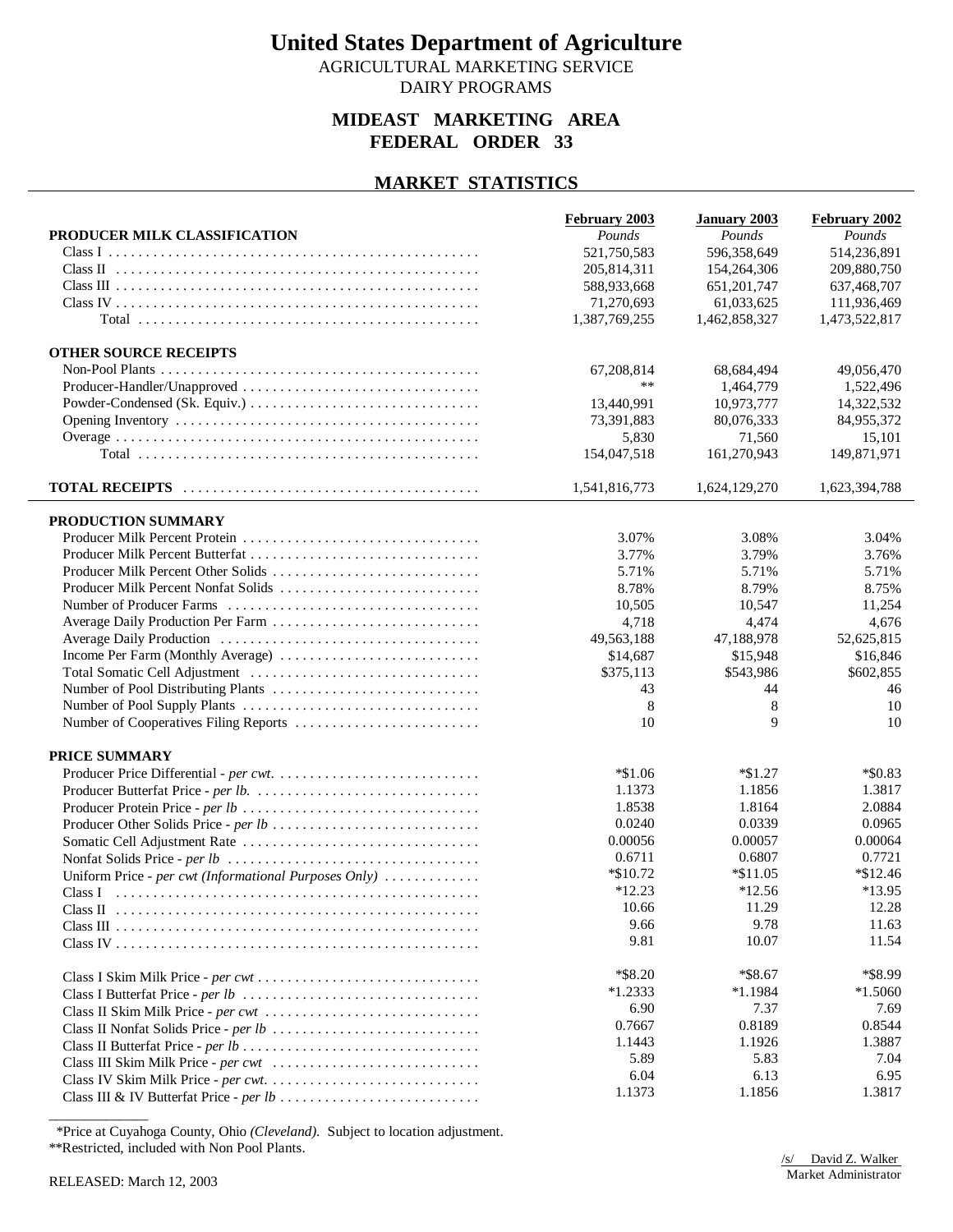AGRICULTURAL MARKETING SERVICE DAIRY PROGRAMS

### **MIDEAST MARKETING AREA FEDERAL ORDER 33**

### **MARKET STATISTICS**

|                                                       | February 2003 | <b>January 2003</b> | February 2002 |
|-------------------------------------------------------|---------------|---------------------|---------------|
| PRODUCER MILK CLASSIFICATION                          | Pounds        | Pounds              | Pounds        |
|                                                       | 521,750,583   | 596,358,649         | 514,236,891   |
|                                                       | 205,814,311   | 154,264,306         | 209,880,750   |
|                                                       | 588,933,668   | 651, 201, 747       | 637,468,707   |
|                                                       | 71,270,693    | 61,033,625          | 111,936,469   |
|                                                       | 1,387,769,255 | 1,462,858,327       | 1,473,522,817 |
|                                                       |               |                     |               |
| <b>OTHER SOURCE RECEIPTS</b>                          |               |                     |               |
|                                                       | 67,208,814    | 68,684,494          | 49,056,470    |
|                                                       | **            | 1,464,779           | 1,522,496     |
|                                                       | 13,440,991    | 10,973,777          | 14,322,532    |
|                                                       | 73,391,883    | 80,076,333          | 84,955,372    |
|                                                       | 5,830         | 71,560              | 15,101        |
|                                                       | 154,047,518   | 161,270,943         | 149,871,971   |
|                                                       |               |                     |               |
|                                                       | 1,541,816,773 | 1,624,129,270       | 1,623,394,788 |
|                                                       |               |                     |               |
| PRODUCTION SUMMARY                                    |               |                     |               |
|                                                       | 3.07%         | 3.08%               | 3.04%         |
|                                                       | 3.77%         | 3.79%               | 3.76%         |
| Producer Milk Percent Other Solids                    | 5.71%         | 5.71%               | 5.71%         |
| Producer Milk Percent Nonfat Solids                   | 8.78%         | 8.79%               | 8.75%         |
|                                                       | 10,505        | 10,547              | 11,254        |
|                                                       | 4,718         | 4,474               | 4,676         |
|                                                       | 49,563,188    | 47,188,978          | 52,625,815    |
|                                                       | \$14,687      | \$15,948            | \$16,846      |
|                                                       | \$375,113     | \$543,986           | \$602,855     |
|                                                       | 43            | 44                  | 46            |
|                                                       | 8             | 8                   | 10            |
| Number of Cooperatives Filing Reports                 | 10            | 9                   | 10            |
|                                                       |               |                     |               |
| PRICE SUMMARY                                         |               |                     |               |
|                                                       | $*\$1.06$     | $*\$1.27$           | $*$ \$0.83    |
|                                                       | 1.1373        | 1.1856              | 1.3817        |
|                                                       | 1.8538        | 1.8164              | 2.0884        |
|                                                       | 0.0240        | 0.0339              | 0.0965        |
|                                                       | 0.00056       | 0.00057             | 0.00064       |
|                                                       | 0.6711        | 0.6807              | 0.7721        |
| Uniform Price - per cwt (Informational Purposes Only) | $*\$10.72$    | $*11.05$            | $*\$12.46$    |
|                                                       | $*12.23$      | $*12.56$            | $*13.95$      |
|                                                       | 10.66         | 11.29               | 12.28         |
|                                                       | 9.66          | 9.78                | 11.63         |
|                                                       | 9.81          | 10.07               | 11.54         |
|                                                       |               |                     |               |
|                                                       | $*$ \$8.20    | $*$ \$8.67          | *\$8.99       |
|                                                       | $*1.2333$     | $*1.1984$           | $*1.5060$     |
| Class II Skim Milk Price - per cwt                    | 6.90          | 7.37                | 7.69          |
|                                                       | 0.7667        | 0.8189              | 0.8544        |
|                                                       | 1.1443        | 1.1926              | 1.3887        |
|                                                       | 5.89          | 5.83                | 7.04          |
|                                                       | 6.04          | 6.13                | 6.95          |
|                                                       | 1.1373        | 1.1856              | 1.3817        |
|                                                       |               |                     |               |

\*Price at Cuyahoga County, Ohio *(Cleveland)*. Subject to location adjustment.

\*\*Restricted, included with Non Pool Plants.

\_\_\_\_\_\_\_\_\_\_\_\_\_\_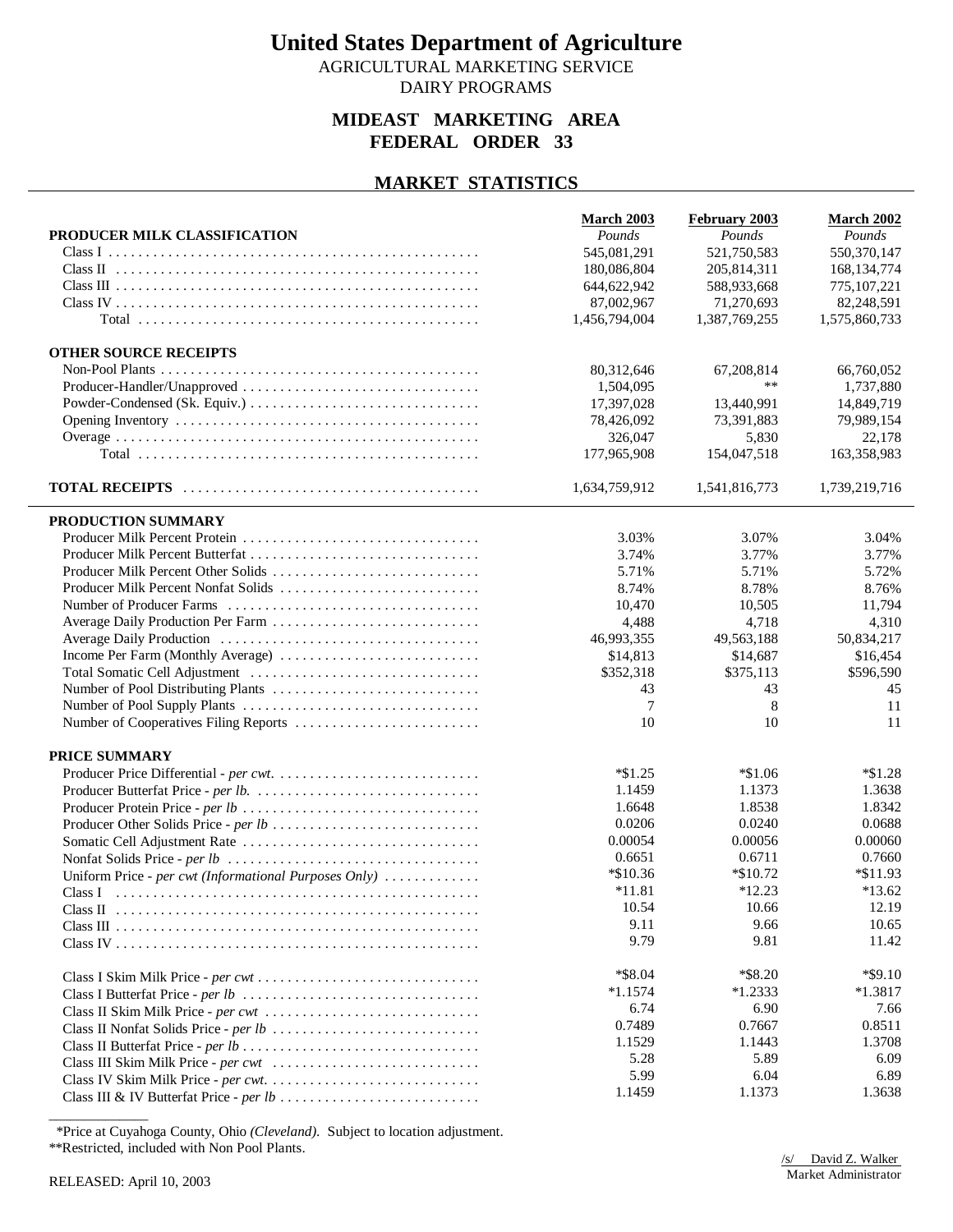AGRICULTURAL MARKETING SERVICE DAIRY PROGRAMS

### **MIDEAST MARKETING AREA FEDERAL ORDER 33**

### **MARKET STATISTICS**

|                                                       | March 2003    | February 2003 | <b>March 2002</b> |
|-------------------------------------------------------|---------------|---------------|-------------------|
| PRODUCER MILK CLASSIFICATION                          | Pounds        | Pounds        | Pounds            |
|                                                       | 545,081,291   | 521,750,583   | 550,370,147       |
|                                                       | 180,086,804   | 205,814,311   | 168, 134, 774     |
|                                                       | 644,622,942   | 588,933,668   | 775, 107, 221     |
|                                                       | 87,002,967    | 71,270,693    | 82,248,591        |
|                                                       | 1,456,794,004 | 1,387,769,255 | 1,575,860,733     |
| <b>OTHER SOURCE RECEIPTS</b>                          |               |               |                   |
|                                                       | 80,312,646    | 67, 208, 814  | 66,760,052        |
| Producer-Handler/Unapproved                           | 1,504,095     | **            | 1,737,880         |
|                                                       | 17,397,028    | 13,440,991    | 14,849,719        |
|                                                       | 78,426,092    | 73,391,883    | 79,989,154        |
|                                                       | 326,047       | 5,830         | 22,178            |
|                                                       | 177,965,908   | 154,047,518   | 163,358,983       |
|                                                       | 1,634,759,912 | 1,541,816,773 | 1,739,219,716     |
| PRODUCTION SUMMARY                                    |               |               |                   |
|                                                       | 3.03%         | 3.07%         | 3.04%             |
| Producer Milk Percent Butterfat                       | 3.74%         | 3.77%         | 3.77%             |
| Producer Milk Percent Other Solids                    | 5.71%         | 5.71%         | 5.72%             |
| Producer Milk Percent Nonfat Solids                   | 8.74%         | 8.78%         | 8.76%             |
|                                                       | 10,470        | 10,505        | 11,794            |
|                                                       | 4,488         | 4,718         | 4,310             |
|                                                       | 46,993,355    | 49,563,188    | 50,834,217        |
|                                                       | \$14,813      | \$14,687      | \$16,454          |
|                                                       | \$352,318     | \$375,113     | \$596,590         |
|                                                       | 43            | 43            | 45                |
|                                                       | 7             | 8             | 11                |
|                                                       | 10            | 10            | 11                |
|                                                       |               |               |                   |
| PRICE SUMMARY                                         |               |               |                   |
|                                                       | $*\$1.25$     | $*1.06$       | $*1.28$           |
|                                                       | 1.1459        | 1.1373        | 1.3638            |
|                                                       | 1.6648        | 1.8538        | 1.8342            |
| Producer Other Solids Price - per lb                  | 0.0206        | 0.0240        | 0.0688            |
|                                                       | 0.00054       | 0.00056       | 0.00060           |
|                                                       | 0.6651        | 0.6711        | 0.7660            |
| Uniform Price - per cwt (Informational Purposes Only) | *\$10.36      | *\$10.72      | $*11.93$          |
|                                                       | $*11.81$      | $*12.23$      | $*13.62$          |
|                                                       | 10.54         | 10.66         | 12.19             |
|                                                       | 9.11          | 9.66          | 10.65             |
|                                                       | 9.79          | 9.81          | 11.42             |
|                                                       | *\$8.04       | *\$8.20       | $*$ \$9.10        |
|                                                       | $*1.1574$     | $*1.2333$     | $*1.3817$         |
| Class II Skim Milk Price - per cwt                    | 6.74          | 6.90          | 7.66              |
|                                                       | 0.7489        | 0.7667        | 0.8511            |
|                                                       | 1.1529        | 1.1443        | 1.3708            |
|                                                       | 5.28          | 5.89          | 6.09              |
|                                                       | 5.99          | 6.04          | 6.89              |
|                                                       | 1.1459        | 1.1373        | 1.3638            |
|                                                       |               |               |                   |

\*Price at Cuyahoga County, Ohio *(Cleveland)*. Subject to location adjustment.

\*\*Restricted, included with Non Pool Plants.

\_\_\_\_\_\_\_\_\_\_\_\_\_\_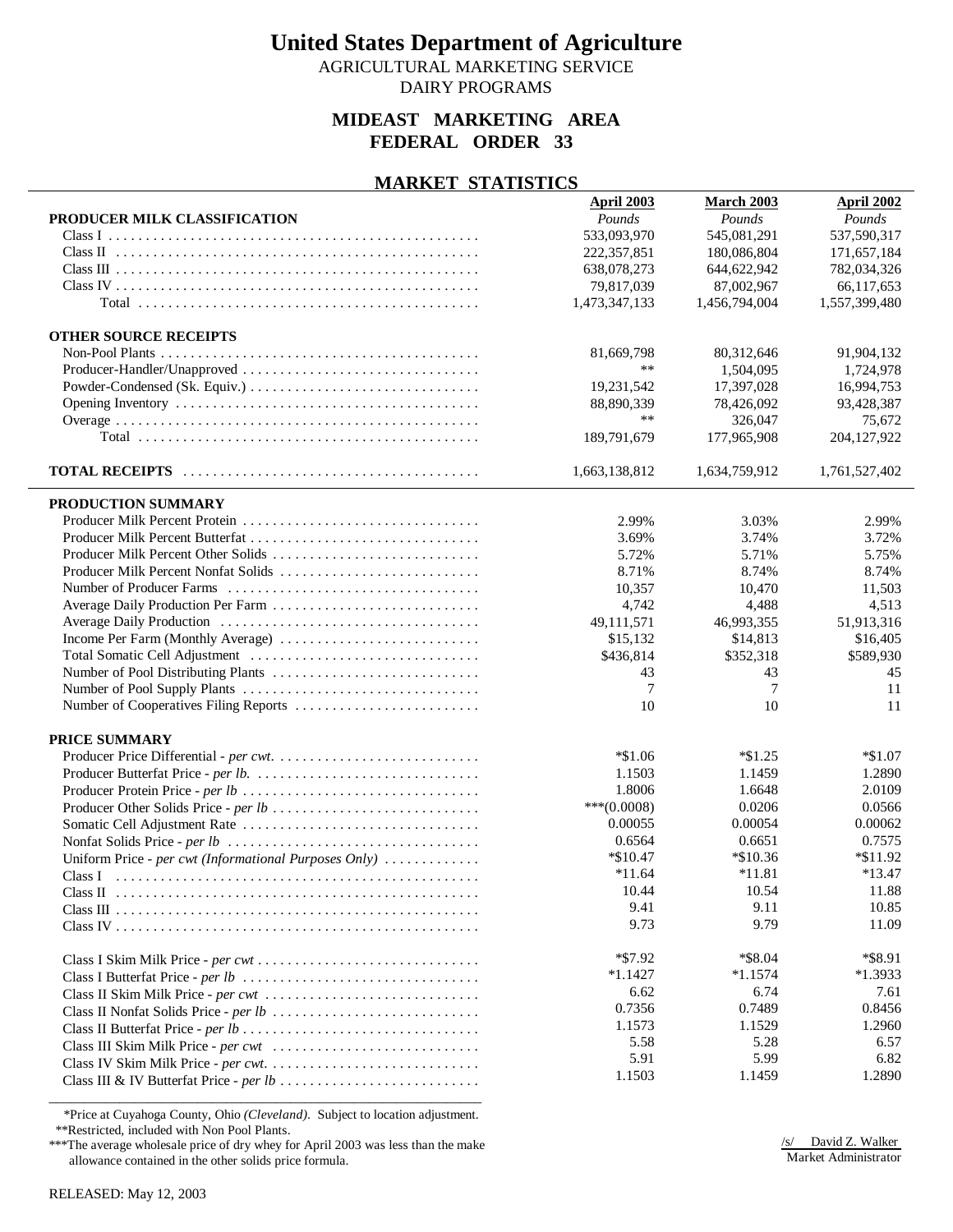AGRICULTURAL MARKETING SERVICE

### DAIRY PROGRAMS

### **MIDEAST MARKETING AREA FEDERAL ORDER 33**

#### **MARKET STATISTICS**

|                                                       | <b>April 2003</b> | March 2003     | April 2002    |
|-------------------------------------------------------|-------------------|----------------|---------------|
| PRODUCER MILK CLASSIFICATION                          | Pounds            | Pounds         | Pounds        |
|                                                       | 533,093,970       | 545,081,291    | 537,590,317   |
|                                                       | 222, 357, 851     | 180,086,804    | 171,657,184   |
|                                                       | 638,078,273       | 644,622,942    | 782,034,326   |
|                                                       | 79,817,039        | 87,002,967     | 66,117,653    |
|                                                       | 1,473,347,133     | 1,456,794,004  | 1,557,399,480 |
|                                                       |                   |                |               |
| <b>OTHER SOURCE RECEIPTS</b>                          |                   |                |               |
|                                                       | 81,669,798        | 80,312,646     | 91,904,132    |
| Producer-Handler/Unapproved                           | **                | 1,504,095      | 1,724,978     |
|                                                       | 19,231,542        | 17,397,028     | 16,994,753    |
|                                                       | 88,890,339        | 78,426,092     | 93,428,387    |
|                                                       | **                | 326,047        | 75,672        |
|                                                       | 189,791,679       | 177,965,908    | 204, 127, 922 |
|                                                       |                   |                |               |
|                                                       | 1,663,138,812     | 1,634,759,912  | 1,761,527,402 |
|                                                       |                   |                |               |
| PRODUCTION SUMMARY                                    |                   |                |               |
|                                                       | 2.99%             | 3.03%          | 2.99%         |
|                                                       | 3.69%             | 3.74%          | 3.72%         |
| Producer Milk Percent Other Solids                    | 5.72%             | 5.71%          | 5.75%         |
| Producer Milk Percent Nonfat Solids                   | 8.71%             | 8.74%          | 8.74%         |
|                                                       |                   |                |               |
|                                                       | 10,357            | 10,470         | 11,503        |
|                                                       | 4,742             | 4,488          | 4,513         |
|                                                       | 49,111,571        | 46,993,355     | 51,913,316    |
|                                                       | \$15,132          | \$14,813       | \$16,405      |
|                                                       | \$436,814         | \$352,318      | \$589,930     |
|                                                       | 43                | 43             | 45            |
|                                                       | $\overline{7}$    | $\overline{7}$ | 11            |
|                                                       | 10                | 10             | 11            |
|                                                       |                   |                |               |
| PRICE SUMMARY                                         |                   |                |               |
|                                                       | $*1.06$           | $*\$1.25$      | $*1.07$       |
|                                                       | 1.1503            | 1.1459         | 1.2890        |
|                                                       | 1.8006            | 1.6648         | 2.0109        |
| Producer Other Solids Price - per lb                  | $***(0.0008)$     | 0.0206         | 0.0566        |
|                                                       | 0.00055           | 0.00054        | 0.00062       |
|                                                       | 0.6564            | 0.6651         | 0.7575        |
| Uniform Price - per cwt (Informational Purposes Only) | $*\$10.47$        | $*10.36$       | $*11.92$      |
|                                                       | $*11.64$          | $*11.81$       | $*13.47$      |
| Class II                                              | 10.44             | 10.54          | 11.88         |
|                                                       | 9.41              | 9.11           | 10.85         |
|                                                       | 9.73              | 9.79           | 11.09         |
|                                                       |                   |                |               |
|                                                       | $*57.92$          | *\$8.04        | *\$8.91       |
|                                                       | $*1.1427$         | $*1.1574$      | $*1.3933$     |
| Class II Skim Milk Price - per cwt                    | 6.62              | 6.74           | 7.61          |
|                                                       | 0.7356            | 0.7489         | 0.8456        |
|                                                       | 1.1573            | 1.1529         | 1.2960        |
|                                                       | 5.58              | 5.28           | 6.57          |
|                                                       | 5.91              | 5.99           | 6.82          |
|                                                       | 1.1503            | 1.1459         | 1.2890        |
|                                                       |                   |                |               |
|                                                       |                   |                |               |

 \*Price at Cuyahoga County, Ohio *(Cleveland)*. Subject to location adjustment. \*\*Restricted, included with Non Pool Plants.

\*\*\*The average wholesale price of dry whey for April 2003 was less than the make allowance contained in the other solids price formula.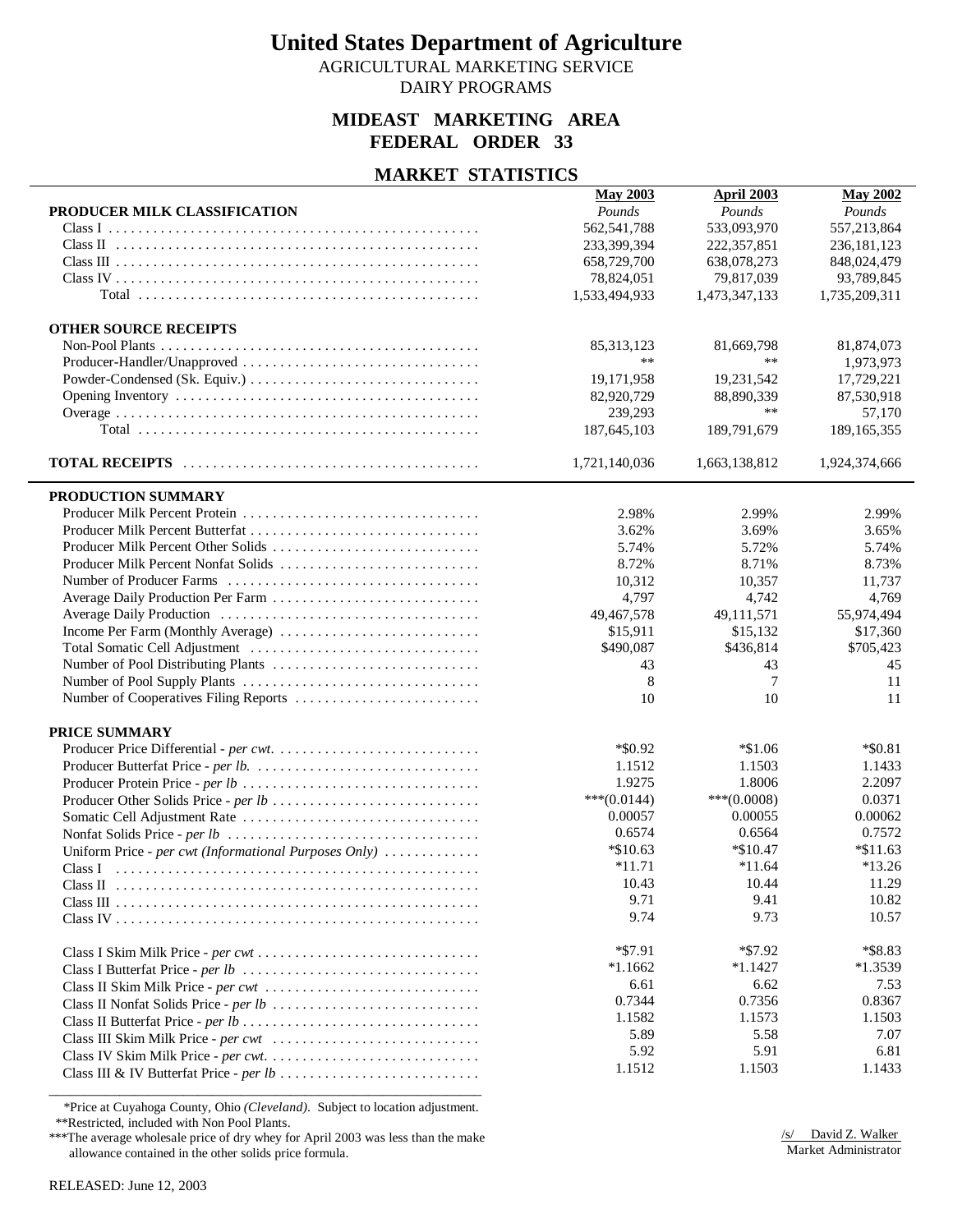AGRICULTURAL MARKETING SERVICE

DAIRY PROGRAMS

### **MIDEAST MARKETING AREA FEDERAL ORDER 33**

#### **MARKET STATISTICS**

|                                                       | <b>May 2003</b> | <b>April 2003</b> | <b>May 2002</b> |
|-------------------------------------------------------|-----------------|-------------------|-----------------|
| PRODUCER MILK CLASSIFICATION                          | Pounds          | Pounds            | Pounds          |
|                                                       | 562, 541, 788   | 533,093,970       | 557,213,864     |
|                                                       | 233,399,394     | 222,357,851       | 236, 181, 123   |
|                                                       | 658,729,700     | 638,078,273       | 848,024,479     |
|                                                       | 78,824,051      | 79,817,039        | 93,789,845      |
|                                                       | 1,533,494,933   | 1,473,347,133     | 1,735,209,311   |
|                                                       |                 |                   |                 |
| <b>OTHER SOURCE RECEIPTS</b>                          |                 |                   |                 |
|                                                       | 85, 313, 123    | 81,669,798        | 81,874,073      |
|                                                       | **              | $***$             | 1,973,973       |
|                                                       | 19,171,958      | 19,231,542        | 17,729,221      |
|                                                       | 82,920,729      | 88,890,339        | 87,530,918      |
|                                                       | 239,293         | $***$             | 57,170          |
|                                                       | 187,645,103     | 189,791,679       | 189, 165, 355   |
|                                                       | 1,721,140,036   | 1,663,138,812     | 1,924,374,666   |
| PRODUCTION SUMMARY                                    |                 |                   |                 |
|                                                       | 2.98%           | 2.99%             | 2.99%           |
|                                                       | 3.62%           | 3.69%             | 3.65%           |
|                                                       | 5.74%           | 5.72%             | 5.74%           |
| Producer Milk Percent Nonfat Solids                   | 8.72%           | 8.71%             | 8.73%           |
|                                                       | 10,312          | 10,357            | 11,737          |
| Average Daily Production Per Farm                     | 4,797           | 4,742             | 4,769           |
|                                                       | 49,467,578      | 49,111,571        | 55,974,494      |
|                                                       | \$15,911        | \$15,132          | \$17,360        |
|                                                       | \$490,087       | \$436,814         | \$705,423       |
|                                                       | 43              | 43                | 45              |
|                                                       | 8               | 7                 | 11              |
|                                                       | 10              | 10                | 11              |
|                                                       |                 |                   |                 |
| <b>PRICE SUMMARY</b>                                  |                 |                   |                 |
|                                                       | $*$ \$0.92      | $*1.06$           | $*$ \$0.81      |
|                                                       | 1.1512          | 1.1503            | 1.1433          |
|                                                       | 1.9275          | 1.8006            | 2.2097          |
|                                                       | ***(0.0144)     | $***(0.0008)$     | 0.0371          |
|                                                       | 0.00057         | 0.00055           | 0.00062         |
|                                                       | 0.6574          | 0.6564            | 0.7572          |
| Uniform Price - per cwt (Informational Purposes Only) | $*10.63$        | $*$ \$10.47       | $*$ \$11.63     |
|                                                       | $*11.71$        | $*11.64$          | $*13.26$        |
|                                                       | 10.43           | 10.44             | 11.29           |
|                                                       | 9.71            | 9.41              | 10.82           |
|                                                       | 9.74            | 9.73              | 10.57           |
|                                                       |                 |                   |                 |
|                                                       | $*$ \$7.91      | $*57.92$          | *\$8.83         |
|                                                       | $*1.1662$       | $*1.1427$         | $*1.3539$       |
| Class II Skim Milk Price - per cwt                    | 6.61            | 6.62              | 7.53            |
|                                                       | 0.7344          | 0.7356            | 0.8367          |
|                                                       | 1.1582          | 1.1573            | 1.1503          |
|                                                       | 5.89            | 5.58              | 7.07            |
|                                                       | 5.92            | 5.91              | 6.81            |
|                                                       | 1.1512          | 1.1503            | 1.1433          |
|                                                       |                 |                   |                 |

 \*Price at Cuyahoga County, Ohio *(Cleveland)*. Subject to location adjustment. \*\*Restricted, included with Non Pool Plants.

\*\*\*The average wholesale price of dry whey for April 2003 was less than the make allowance contained in the other solids price formula.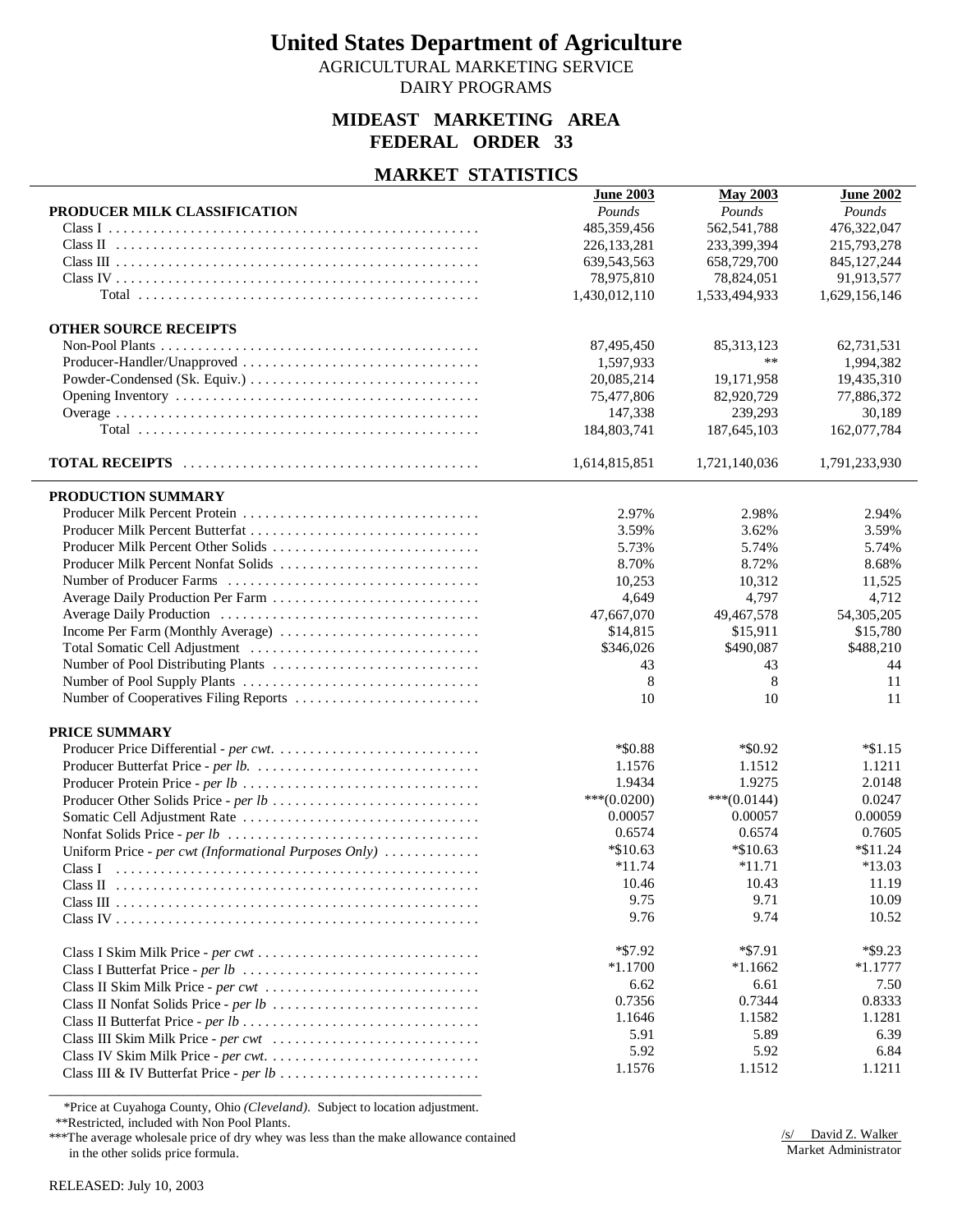AGRICULTURAL MARKETING SERVICE

DAIRY PROGRAMS

### **MIDEAST MARKETING AREA FEDERAL ORDER 33**

### **MARKET STATISTICS**

|                                                       | <b>June 2003</b> | <b>May 2003</b>    | <b>June 2002</b> |
|-------------------------------------------------------|------------------|--------------------|------------------|
| PRODUCER MILK CLASSIFICATION                          | Pounds           | Pounds             | Pounds           |
|                                                       | 485,359,456      | 562,541,788        | 476,322,047      |
|                                                       | 226, 133, 281    | 233,399,394        | 215,793,278      |
|                                                       | 639, 543, 563    | 658,729,700        | 845, 127, 244    |
|                                                       | 78,975,810       | 78,824,051         | 91,913,577       |
|                                                       | 1,430,012,110    | 1,533,494,933      | 1,629,156,146    |
|                                                       |                  |                    |                  |
| <b>OTHER SOURCE RECEIPTS</b>                          |                  |                    |                  |
|                                                       | 87,495,450       | 85, 313, 123<br>** | 62,731,531       |
|                                                       | 1,597,933        |                    | 1,994,382        |
|                                                       | 20,085,214       | 19,171,958         | 19,435,310       |
|                                                       | 75,477,806       | 82,920,729         | 77,886,372       |
|                                                       | 147,338          | 239,293            | 30,189           |
|                                                       | 184,803,741      | 187,645,103        | 162,077,784      |
|                                                       | 1,614,815,851    | 1,721,140,036      | 1,791,233,930    |
| PRODUCTION SUMMARY                                    |                  |                    |                  |
|                                                       | 2.97%            | 2.98%              | 2.94%            |
|                                                       | 3.59%            | 3.62%              | 3.59%            |
|                                                       | 5.73%            | 5.74%              | 5.74%            |
| Producer Milk Percent Nonfat Solids                   | 8.70%            | 8.72%              | 8.68%            |
|                                                       | 10,253           | 10,312             | 11,525           |
|                                                       | 4,649            | 4,797              | 4,712            |
|                                                       | 47,667,070       | 49,467,578         | 54,305,205       |
| Income Per Farm (Monthly Average)                     | \$14,815         | \$15,911           | \$15,780         |
|                                                       | \$346,026        | \$490,087          | \$488,210        |
|                                                       | 43               | 43                 | 44               |
|                                                       | 8                | 8                  | 11               |
|                                                       | 10               | 10                 | 11               |
| PRICE SUMMARY                                         |                  |                    |                  |
|                                                       | *\$0.88          | $*$ \$0.92         | $*1.15$          |
|                                                       | 1.1576           | 1.1512             | 1.1211           |
|                                                       | 1.9434           | 1.9275             | 2.0148           |
|                                                       | $***(0.0200)$    | $***(0.0144)$      | 0.0247           |
|                                                       | 0.00057          | 0.00057            | 0.00059          |
|                                                       | 0.6574           | 0.6574             | 0.7605           |
| Uniform Price - per cwt (Informational Purposes Only) | $*10.63$         | $*$ \$10.63        | $*$ \$11.24      |
|                                                       | $*11.74$         | $*11.71$           | $*13.03$         |
|                                                       | 10.46            | 10.43              | 11.19            |
|                                                       | 9.75             | 9.71               | 10.09            |
|                                                       | 9.76             | 9.74               | 10.52            |
|                                                       |                  |                    |                  |
|                                                       | $*$ \$7.92       | $*$ \$7.91         | $*$ \$9.23       |
|                                                       | $*1.1700$        | $*1.1662$          | $*1.1777$        |
| Class II Skim Milk Price - per cwt                    | 6.62             | 6.61               | 7.50             |
|                                                       | 0.7356           | 0.7344             | 0.8333           |
|                                                       | 1.1646           | 1.1582             | 1.1281           |
|                                                       | 5.91             | 5.89               | 6.39             |
|                                                       | 5.92             | 5.92               | 6.84             |
|                                                       | 1.1576           | 1.1512             | 1.1211           |
|                                                       |                  |                    |                  |

\*Price at Cuyahoga County, Ohio *(Cleveland)*. Subject to location adjustment.

\*\*Restricted, included with Non Pool Plants.

\*\*\*The average wholesale price of dry whey was less than the make allowance contained in the other solids price formula.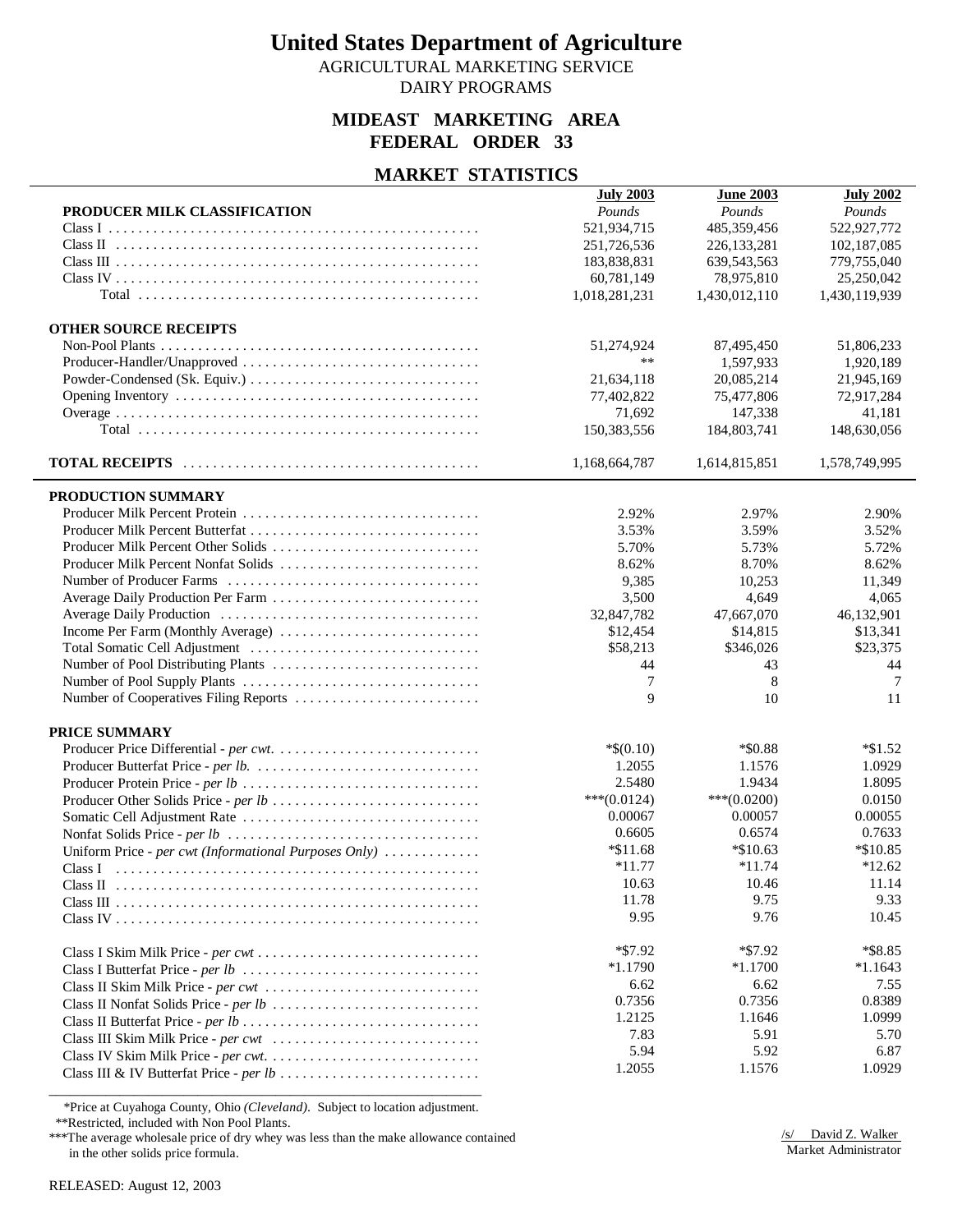AGRICULTURAL MARKETING SERVICE

DAIRY PROGRAMS

### **MIDEAST MARKETING AREA FEDERAL ORDER 33**

### **MARKET STATISTICS**

|                                                       | <b>July 2003</b> | <b>June 2003</b> | <b>July 2002</b> |
|-------------------------------------------------------|------------------|------------------|------------------|
| PRODUCER MILK CLASSIFICATION                          | Pounds           | Pounds           | Pounds           |
|                                                       | 521,934,715      | 485,359,456      | 522,927,772      |
|                                                       | 251,726,536      | 226, 133, 281    | 102,187,085      |
|                                                       | 183,838,831      | 639, 543, 563    | 779,755,040      |
|                                                       | 60,781,149       | 78,975,810       | 25,250,042       |
|                                                       | 1,018,281,231    | 1,430,012,110    | 1,430,119,939    |
| <b>OTHER SOURCE RECEIPTS</b>                          |                  |                  |                  |
|                                                       | 51,274,924       | 87,495,450       | 51,806,233       |
|                                                       | $***$            | 1,597,933        | 1,920,189        |
|                                                       | 21,634,118       | 20,085,214       | 21,945,169       |
|                                                       | 77,402,822       | 75,477,806       | 72,917,284       |
|                                                       | 71,692           | 147,338          | 41,181           |
|                                                       | 150,383,556      | 184,803,741      | 148,630,056      |
|                                                       |                  |                  |                  |
|                                                       | 1,168,664,787    | 1,614,815,851    | 1,578,749,995    |
| PRODUCTION SUMMARY                                    |                  |                  |                  |
|                                                       | 2.92%            | 2.97%            | 2.90%            |
|                                                       | 3.53%            | 3.59%            | 3.52%            |
| Producer Milk Percent Other Solids                    | 5.70%            | 5.73%            | 5.72%            |
| Producer Milk Percent Nonfat Solids                   | 8.62%            | 8.70%            | 8.62%            |
|                                                       | 9,385            | 10,253           | 11,349           |
|                                                       | 3,500            | 4,649            | 4,065            |
|                                                       | 32,847,782       | 47,667,070       | 46,132,901       |
|                                                       | \$12,454         | \$14,815         | \$13,341         |
|                                                       | \$58,213         | \$346,026        | \$23,375         |
|                                                       | 44               | 43               | 44               |
|                                                       | 7                | 8                | 7                |
| Number of Cooperatives Filing Reports                 | 9                | 10               | 11               |
| <b>PRICE SUMMARY</b>                                  |                  |                  |                  |
|                                                       | $*$ \$(0.10)     | *\$0.88          | $*\$1.52$        |
|                                                       | 1.2055           | 1.1576           | 1.0929           |
|                                                       | 2.5480           | 1.9434           | 1.8095           |
|                                                       | $***(0.0124)$    | $***(0.0200)$    | 0.0150           |
| Producer Other Solids Price - per lb                  |                  |                  |                  |
|                                                       | 0.00067          | 0.00057          | 0.00055          |
|                                                       | 0.6605           | 0.6574           | 0.7633           |
| Uniform Price - per cwt (Informational Purposes Only) | $*$ \$11.68      | $*$ \$10.63      | $*$ \$10.85      |
|                                                       | $*11.77$         | $*11.74$         | $*12.62$         |
|                                                       | 10.63            | 10.46            | 11.14            |
|                                                       | 11.78            | 9.75             | 9.33             |
|                                                       | 9.95             | 9.76             | 10.45            |
|                                                       | $*$ \$7.92       | $*$ \$7.92       | $*$ \$8.85       |
|                                                       | $*1.1790$        | $*1.1700$        | $*1.1643$        |
| Class II Skim Milk Price - per cwt                    | 6.62             | 6.62             | 7.55             |
|                                                       | 0.7356           | 0.7356           | 0.8389           |
|                                                       | 1.2125           | 1.1646           | 1.0999           |
|                                                       | 7.83             | 5.91             | 5.70             |
|                                                       | 5.94             | 5.92             | 6.87             |
|                                                       | 1.2055           | 1.1576           | 1.0929           |
|                                                       |                  |                  |                  |

\*Price at Cuyahoga County, Ohio *(Cleveland)*. Subject to location adjustment.

\*\*Restricted, included with Non Pool Plants.

\*\*\*The average wholesale price of dry whey was less than the make allowance contained in the other solids price formula.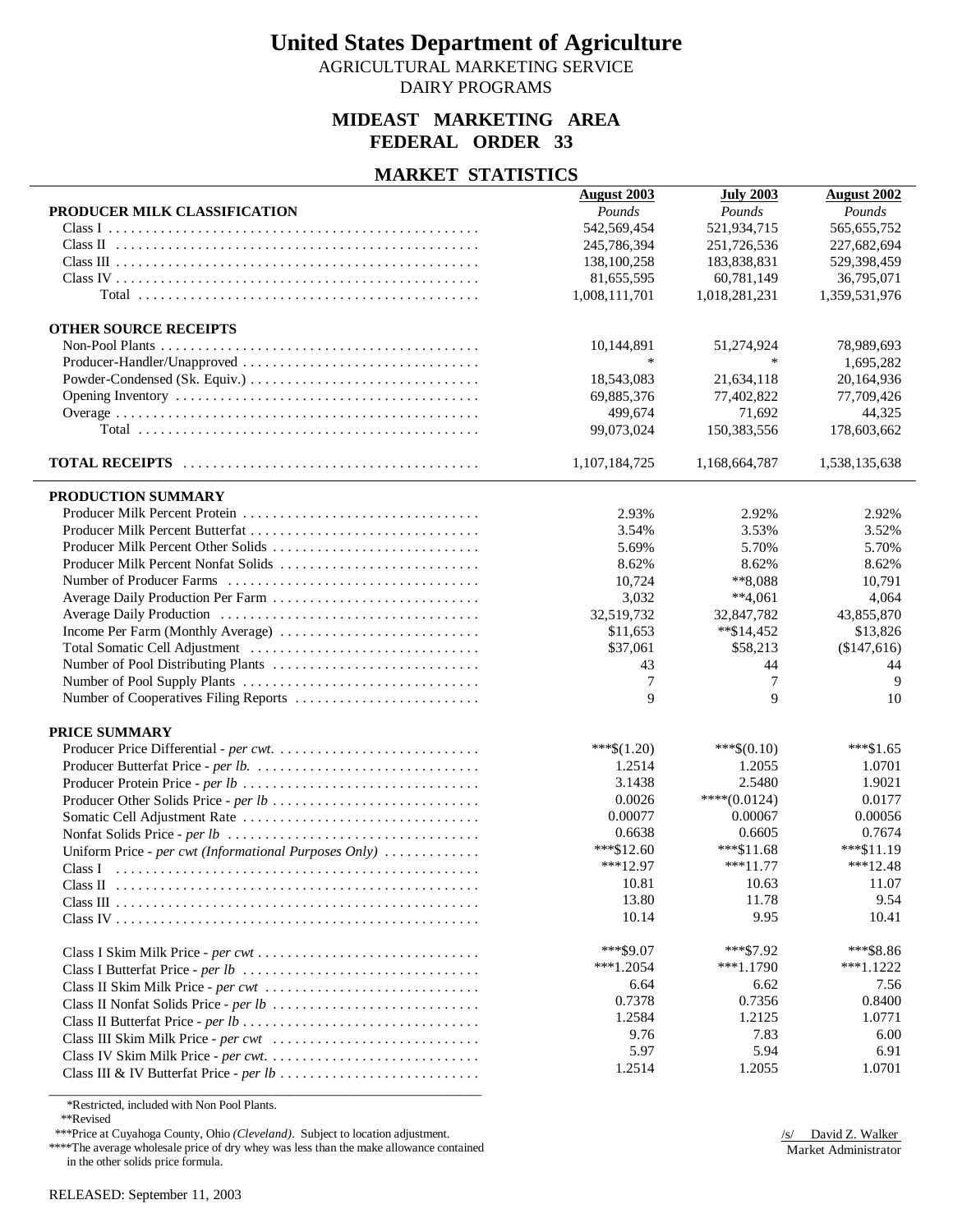AGRICULTURAL MARKETING SERVICE

DAIRY PROGRAMS

### **MIDEAST MARKETING AREA FEDERAL ORDER 33**

#### **MARKET STATISTICS**

|                                                       | <b>August 2003</b> | <b>July 2003</b> | <b>August 2002</b> |
|-------------------------------------------------------|--------------------|------------------|--------------------|
| PRODUCER MILK CLASSIFICATION                          | Pounds             | Pounds           | Pounds             |
|                                                       | 542,569,454        | 521,934,715      | 565,655,752        |
|                                                       | 245,786,394        | 251,726,536      | 227,682,694        |
|                                                       | 138,100,258        | 183,838,831      | 529,398,459        |
|                                                       | 81,655,595         | 60,781,149       | 36,795,071         |
|                                                       | 1,008,111,701      | 1,018,281,231    | 1,359,531,976      |
|                                                       |                    |                  |                    |
| <b>OTHER SOURCE RECEIPTS</b>                          |                    |                  |                    |
|                                                       | 10,144,891         | 51,274,924       | 78,989,693         |
|                                                       |                    | $\ast$           | 1,695,282          |
|                                                       | 18,543,083         | 21,634,118       | 20,164,936         |
|                                                       | 69,885,376         | 77,402,822       | 77,709,426         |
|                                                       | 499,674            | 71,692           | 44,325             |
|                                                       | 99,073,024         | 150,383,556      | 178,603,662        |
|                                                       |                    |                  |                    |
|                                                       | 1,107,184,725      | 1,168,664,787    | 1,538,135,638      |
|                                                       |                    |                  |                    |
| PRODUCTION SUMMARY                                    |                    |                  |                    |
|                                                       | 2.93%              | 2.92%            | 2.92%              |
|                                                       | 3.54%              | 3.53%            | 3.52%              |
|                                                       | 5.69%              | 5.70%            | 5.70%              |
| Producer Milk Percent Nonfat Solids                   | 8.62%              | 8.62%            | 8.62%              |
|                                                       | 10,724             | **8,088          | 10,791             |
|                                                       | 3,032              | $**4,061$        | 4,064              |
|                                                       | 32,519,732         | 32,847,782       | 43,855,870         |
| Income Per Farm (Monthly Average)                     | \$11,653           | **\$14,452       | \$13,826           |
|                                                       | \$37,061           | \$58,213         | (\$147,616)        |
|                                                       | 43                 | 44               | 44                 |
|                                                       | 7                  | 7                | 9                  |
|                                                       | 9                  | 9                | 10                 |
|                                                       |                    |                  |                    |
| PRICE SUMMARY                                         |                    |                  |                    |
|                                                       | ***\$ $(1.20)$     | $***\$(0.10)$    | $***1.65$          |
|                                                       | 1.2514             | 1.2055           | 1.0701             |
|                                                       | 3.1438             | 2.5480           | 1.9021             |
|                                                       | 0.0026             | $***(0.0124)$    | 0.0177             |
|                                                       | 0.00077            | 0.00067          | 0.00056            |
|                                                       | 0.6638             | 0.6605           | 0.7674             |
| Uniform Price - per cwt (Informational Purposes Only) | ***\$12.60         | ***\$11.68       | $***11.19$         |
|                                                       | $***12.97$         | $***11.77$       | $***12.48$         |
|                                                       | 10.81              | 10.63            | 11.07              |
|                                                       | 13.80              | 11.78            | 9.54               |
|                                                       | 10.14              | 9.95             | 10.41              |
|                                                       |                    |                  |                    |
|                                                       | $***$ \$9.07       | $***192$         | ***\$8.86          |
|                                                       | $***1.2054$        | $***1.1790$      | $***1.1222$        |
| Class II Skim Milk Price - per cwt                    | 6.64               | 6.62             | 7.56               |
|                                                       | 0.7378             | 0.7356           | 0.8400             |
|                                                       | 1.2584             | 1.2125           | 1.0771             |
|                                                       | 9.76               | 7.83             | 6.00               |
|                                                       | 5.97               | 5.94             | 6.91               |
|                                                       | 1.2514             | 1.2055           | 1.0701             |
|                                                       |                    |                  |                    |

\*Restricted, included with Non Pool Plants.

\*\*Revised

\*\*\*Price at Cuyahoga County, Ohio *(Cleveland)*. Subject to location adjustment.

\*\*\*\*The average wholesale price of dry whey was less than the make allowance contained in the other solids price formula.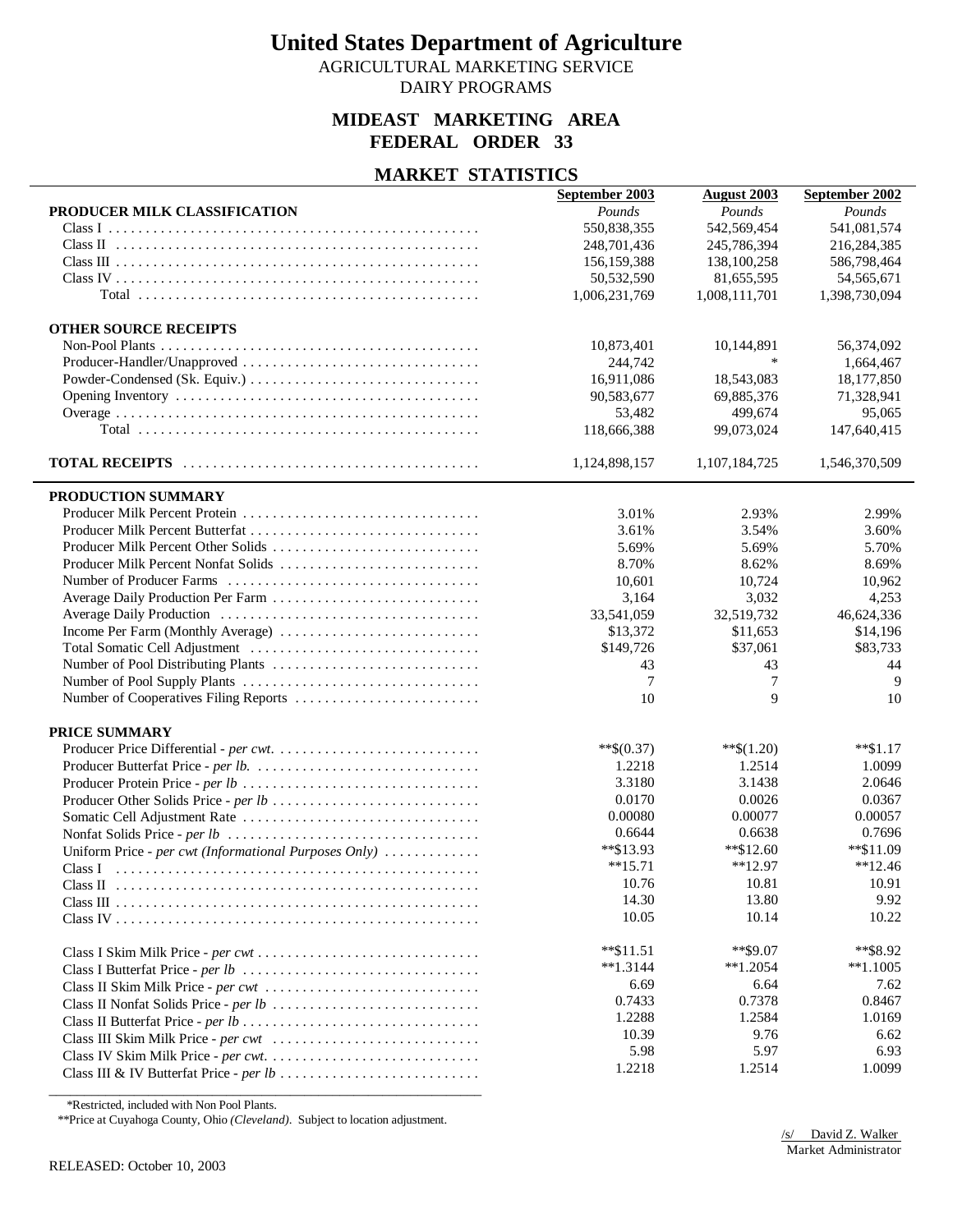AGRICULTURAL MARKETING SERVICE

DAIRY PROGRAMS

### **MIDEAST MARKETING AREA FEDERAL ORDER 33**

### **MARKET STATISTICS**

|                                                       | September 2003 | <b>August 2003</b> | September 2002 |
|-------------------------------------------------------|----------------|--------------------|----------------|
| PRODUCER MILK CLASSIFICATION                          | Pounds         | Pounds             | Pounds         |
|                                                       | 550,838,355    | 542,569,454        | 541,081,574    |
|                                                       | 248,701,436    | 245,786,394        | 216,284,385    |
|                                                       | 156, 159, 388  | 138,100,258        | 586,798,464    |
|                                                       | 50,532,590     | 81,655,595         | 54,565,671     |
|                                                       | 1,006,231,769  | 1,008,111,701      | 1,398,730,094  |
|                                                       |                |                    |                |
| <b>OTHER SOURCE RECEIPTS</b>                          |                |                    |                |
|                                                       | 10,873,401     | 10,144,891         | 56,374,092     |
|                                                       | 244,742        | $\ast$             | 1,664,467      |
|                                                       | 16,911,086     | 18,543,083         | 18,177,850     |
|                                                       | 90,583,677     | 69,885,376         | 71,328,941     |
|                                                       | 53,482         | 499,674            | 95,065         |
|                                                       | 118,666,388    | 99,073,024         | 147,640,415    |
|                                                       | 1,124,898,157  | 1,107,184,725      | 1,546,370,509  |
|                                                       |                |                    |                |
| PRODUCTION SUMMARY                                    |                |                    |                |
|                                                       | 3.01%          | 2.93%              | 2.99%          |
|                                                       | 3.61%          | 3.54%              | 3.60%          |
| Producer Milk Percent Nonfat Solids                   | 5.69%          | 5.69%              | 5.70%          |
|                                                       | 8.70%          | 8.62%<br>10.724    | 8.69%          |
|                                                       | 10,601         |                    | 10,962         |
|                                                       | 3,164          | 3,032              | 4,253          |
|                                                       | 33,541,059     | 32,519,732         | 46,624,336     |
| Income Per Farm (Monthly Average)                     | \$13,372       | \$11,653           | \$14,196       |
|                                                       | \$149,726      | \$37,061           | \$83,733       |
|                                                       | 43             | 43                 | 44             |
|                                                       | 7              | 7                  | 9              |
|                                                       | 10             | 9                  | 10             |
| PRICE SUMMARY                                         |                |                    |                |
|                                                       | $**\$(0.37)$   | $**\$(1.20)$       | $**\$1.17$     |
|                                                       | 1.2218         | 1.2514             | 1.0099         |
|                                                       | 3.3180         | 3.1438             | 2.0646         |
|                                                       | 0.0170         | 0.0026             | 0.0367         |
|                                                       | 0.00080        | 0.00077            | 0.00057        |
|                                                       | 0.6644         | 0.6638             | 0.7696         |
| Uniform Price - per cwt (Informational Purposes Only) | **\$13.93      | **\$12.60          | $*$ \$11.09    |
|                                                       | $**15.71$      | $*12.97$           | $*12.46$       |
|                                                       | 10.76          | 10.81              | 10.91          |
|                                                       | 14.30          | 13.80              | 9.92           |
|                                                       | 10.05          | 10.14              | 10.22          |
|                                                       | $*$ \$11.51    | $*$ \$9.07         | **\$8.92       |
|                                                       | $*1.3144$      | $*1.2054$          | $*1.1005$      |
|                                                       | 6.69           | 6.64               | 7.62           |
|                                                       | 0.7433         | 0.7378             | 0.8467         |
|                                                       | 1.2288         | 1.2584             | 1.0169         |
|                                                       | 10.39          | 9.76               | 6.62           |
|                                                       | 5.98           | 5.97               | 6.93           |
|                                                       | 1.2218         | 1.2514             | 1.0099         |
|                                                       |                |                    |                |

\*Restricted, included with Non Pool Plants.

\*\*Price at Cuyahoga County, Ohio *(Cleveland)*. Subject to location adjustment.

\_\_\_\_\_\_\_\_\_\_\_\_\_\_\_\_\_\_\_\_\_\_\_\_\_\_\_\_\_\_\_\_\_\_\_\_\_\_\_\_\_\_\_\_\_\_\_\_\_\_\_\_\_\_\_\_\_\_\_\_\_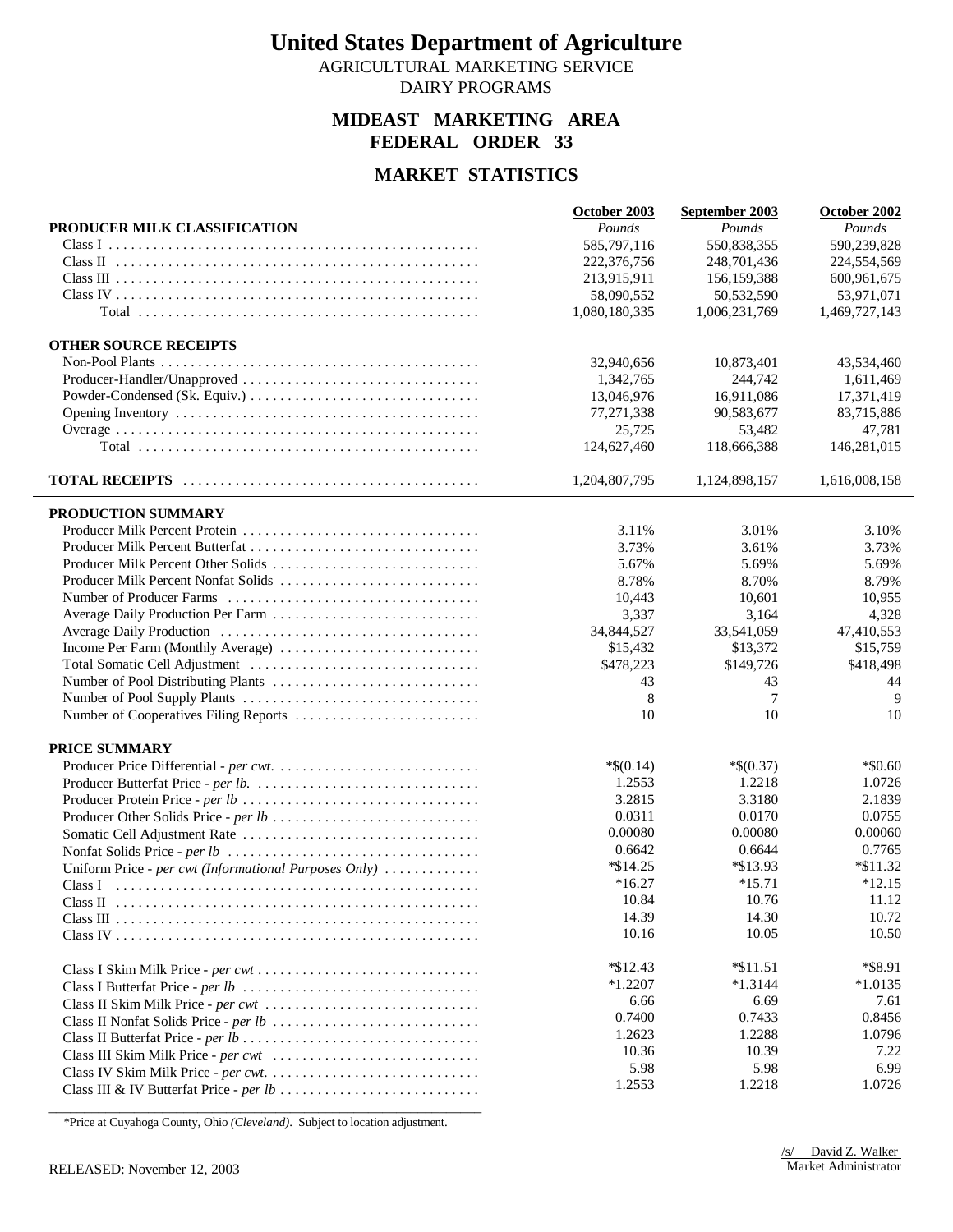AGRICULTURAL MARKETING SERVICE DAIRY PROGRAMS

### **MIDEAST MARKETING AREA FEDERAL ORDER 33**

### **MARKET STATISTICS**

|                                                       | October 2003  | September 2003 | October 2002  |
|-------------------------------------------------------|---------------|----------------|---------------|
| PRODUCER MILK CLASSIFICATION                          | Pounds        | Pounds         | Pounds        |
| Class I                                               | 585,797,116   | 550,838,355    | 590,239,828   |
|                                                       | 222,376,756   | 248,701,436    | 224,554,569   |
|                                                       | 213,915,911   | 156, 159, 388  | 600,961,675   |
|                                                       | 58,090,552    | 50,532,590     | 53.971.071    |
|                                                       | 1,080,180,335 | 1,006,231,769  | 1,469,727,143 |
| <b>OTHER SOURCE RECEIPTS</b>                          |               |                |               |
|                                                       | 32,940,656    | 10,873,401     | 43,534,460    |
| Producer-Handler/Unapproved                           | 1,342,765     | 244,742        | 1,611,469     |
|                                                       | 13,046,976    | 16,911,086     | 17,371,419    |
|                                                       |               | 90,583,677     |               |
|                                                       | 77,271,338    |                | 83,715,886    |
|                                                       | 25,725        | 53,482         | 47,781        |
|                                                       | 124,627,460   | 118,666,388    | 146,281,015   |
|                                                       | 1,204,807,795 | 1,124,898,157  | 1,616,008,158 |
| PRODUCTION SUMMARY                                    |               |                |               |
|                                                       | 3.11%         | 3.01%          | 3.10%         |
|                                                       | 3.73%         | 3.61%          | 3.73%         |
| Producer Milk Percent Other Solids                    | 5.67%         | 5.69%          | 5.69%         |
| Producer Milk Percent Nonfat Solids                   | 8.78%         | 8.70%          | 8.79%         |
|                                                       | 10,443        | 10,601         | 10,955        |
|                                                       | 3,337         | 3,164          | 4,328         |
|                                                       | 34,844,527    | 33,541,059     | 47,410,553    |
|                                                       | \$15,432      | \$13,372       | \$15,759      |
|                                                       | \$478,223     | \$149,726      | \$418,498     |
|                                                       | 43            | 43             | 44            |
|                                                       | 8             | 7              | 9             |
| Number of Cooperatives Filing Reports                 | 10            | 10             | 10            |
| PRICE SUMMARY                                         |               |                |               |
|                                                       | $*$ \$(0.14)  | $*$(0.37)$     | $*$ \$0.60    |
|                                                       | 1.2553        | 1.2218         | 1.0726        |
|                                                       | 3.2815        | 3.3180         | 2.1839        |
|                                                       | 0.0311        | 0.0170         | 0.0755        |
|                                                       | 0.00080       | 0.00080        | 0.00060       |
|                                                       | 0.6642        | 0.6644         | 0.7765        |
|                                                       | $*\$14.25$    | *\$13.93       | $*$ \$11.32   |
| Uniform Price - per cwt (Informational Purposes Only) | $*16.27$      | $*15.71$       | $*12.15$      |
|                                                       | 10.84         | 10.76          | 11.12         |
| Class II                                              |               |                |               |
|                                                       | 14.39         | 14.30          | 10.72         |
|                                                       | 10.16         | 10.05          | 10.50         |
|                                                       | $*$ \$12.43   | $*11.51$       | *\$8.91       |
|                                                       | $*1.2207$     | $*1.3144$      | $*1.0135$     |
| Class II Skim Milk Price - per cwt                    | 6.66          | 6.69           | 7.61          |
|                                                       | 0.7400        | 0.7433         | 0.8456        |
|                                                       | 1.2623        | 1.2288         | 1.0796        |
|                                                       | 10.36         | 10.39          | 7.22          |
|                                                       | 5.98          | 5.98           | 6.99          |
|                                                       | 1.2553        | 1.2218         | 1.0726        |

\_\_\_\_\_\_\_\_\_\_\_\_\_\_\_\_\_\_\_\_\_\_\_\_\_\_\_\_\_\_\_\_\_\_\_\_\_\_\_\_\_\_\_\_\_\_\_\_\_\_\_\_\_\_\_\_\_\_\_\_\_ \*Price at Cuyahoga County, Ohio *(Cleveland)*. Subject to location adjustment.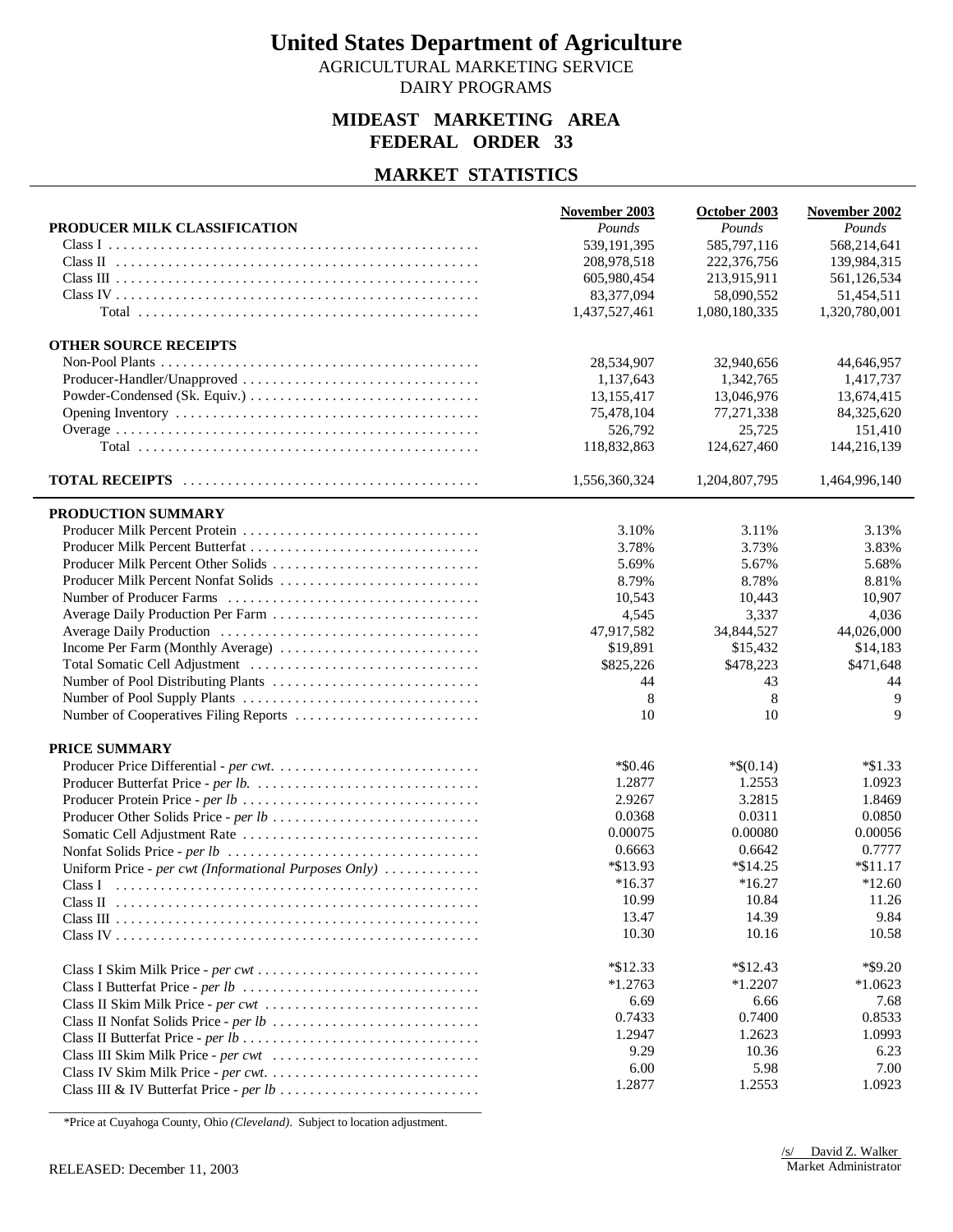AGRICULTURAL MARKETING SERVICE DAIRY PROGRAMS

### **MIDEAST MARKETING AREA FEDERAL ORDER 33**

### **MARKET STATISTICS**

| PRODUCER MILK CLASSIFICATION                          | November 2003<br>Pounds | October 2003<br>Pounds | November 2002<br>Pounds |
|-------------------------------------------------------|-------------------------|------------------------|-------------------------|
|                                                       | 539,191,395             | 585,797,116            |                         |
| Class I                                               | 208,978,518             | 222,376,756            | 568,214,641             |
|                                                       |                         |                        | 139,984,315             |
|                                                       | 605,980,454             | 213,915,911            | 561,126,534             |
|                                                       | 83,377,094              | 58,090,552             | 51,454,511              |
|                                                       | 1,437,527,461           | 1,080,180,335          | 1,320,780,001           |
| <b>OTHER SOURCE RECEIPTS</b>                          |                         |                        |                         |
|                                                       | 28,534,907              | 32,940,656             | 44,646,957              |
|                                                       | 1,137,643               | 1,342,765              | 1,417,737               |
|                                                       | 13,155,417              | 13,046,976             | 13,674,415              |
|                                                       | 75,478,104              | 77,271,338             | 84,325,620              |
|                                                       | 526,792                 | 25,725                 | 151,410                 |
|                                                       | 118,832,863             | 124,627,460            | 144,216,139             |
|                                                       |                         |                        |                         |
|                                                       | 1,556,360,324           | 1,204,807,795          | 1,464,996,140           |
| PRODUCTION SUMMARY                                    |                         |                        |                         |
|                                                       | 3.10%                   | 3.11%                  | 3.13%                   |
|                                                       | 3.78%                   | 3.73%                  | 3.83%                   |
|                                                       | 5.69%                   | 5.67%                  | 5.68%                   |
| Producer Milk Percent Nonfat Solids                   | 8.79%                   | 8.78%                  | 8.81%                   |
|                                                       | 10,543                  | 10,443                 | 10,907                  |
|                                                       | 4,545                   | 3,337                  | 4,036                   |
|                                                       | 47,917,582              | 34,844,527             | 44,026,000              |
| Income Per Farm (Monthly Average)                     | \$19,891                | \$15,432               | \$14,183                |
|                                                       | \$825,226               | \$478,223              | \$471,648               |
|                                                       | 44                      | 43                     | 44                      |
|                                                       | 8                       | 8                      | 9                       |
| Number of Cooperatives Filing Reports                 | 10                      | 10                     | $\mathbf Q$             |
|                                                       |                         |                        |                         |
| <b>PRICE SUMMARY</b>                                  |                         |                        |                         |
|                                                       | $*$ \$0.46              | $*$ \$(0.14)<br>1.2553 | $*\$1.33$               |
|                                                       | 1.2877                  |                        | 1.0923                  |
|                                                       | 2.9267                  | 3.2815                 | 1.8469                  |
|                                                       | 0.0368                  | 0.0311                 | 0.0850                  |
|                                                       | 0.00075                 | 0.00080                | 0.00056                 |
|                                                       | 0.6663                  | 0.6642                 | 0.7777                  |
| Uniform Price - per cwt (Informational Purposes Only) | *\$13.93                | $*\$14.25$             | $*$ \$11.17             |
|                                                       | $*16.37$                | $*16.27$               | $*12.60$                |
| Class II                                              | 10.99                   | 10.84                  | 11.26                   |
|                                                       | 13.47                   | 14.39                  | 9.84                    |
|                                                       | 10.30                   | 10.16                  | 10.58                   |
|                                                       | $*$ \$12.33             | $*$ \$12.43            | $*$ \$9.20              |
|                                                       | $*1.2763$               | $*1.2207$              | $*1.0623$               |
| Class II Skim Milk Price - per cwt                    | 6.69                    | 6.66                   | 7.68                    |
|                                                       | 0.7433                  | 0.7400                 | 0.8533                  |
|                                                       | 1.2947                  | 1.2623                 | 1.0993                  |
|                                                       | 9.29                    | 10.36                  | 6.23                    |
|                                                       | 6.00                    | 5.98                   | 7.00                    |
|                                                       | 1.2877                  | 1.2553                 | 1.0923                  |
|                                                       |                         |                        |                         |

\_\_\_\_\_\_\_\_\_\_\_\_\_\_\_\_\_\_\_\_\_\_\_\_\_\_\_\_\_\_\_\_\_\_\_\_\_\_\_\_\_\_\_\_\_\_\_\_\_\_\_\_\_\_\_\_\_\_\_\_\_ \*Price at Cuyahoga County, Ohio *(Cleveland)*. Subject to location adjustment.